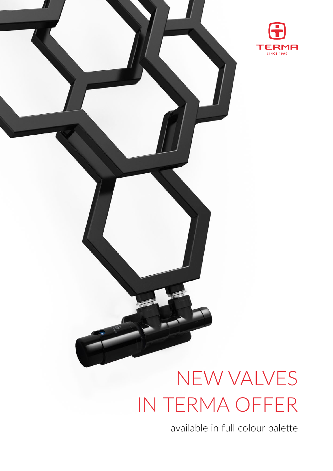

# NEW VALVES IN TERMA OFFER

available in full colour palette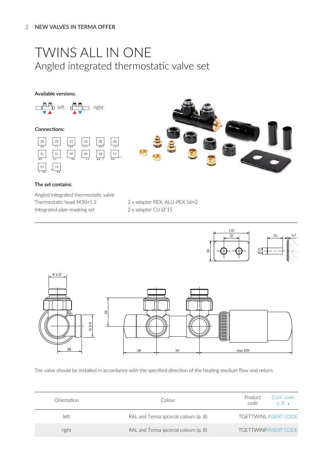### TWINS ALL IN ONE Angled integrated thermostatic valve set

#### **Available versions:**



#### **Connections:**





#### **The set contains:**

Angled integrated thermostatic valve Thermostatic head M30×1.5 Integrated pipe‑masking set

2 x adapter PEX, ALU-PEX 16×2 2 x adapter CU Ø 15



The valve should be installed in accordance with the specified direction of the heating medium flow and return.

| Orientation | Colour                                | Conf. code<br>Product<br>code<br>$D. 8. \rightarrow$ |
|-------------|---------------------------------------|------------------------------------------------------|
| left        | RAL and Terma spcecial colours (p. 8) | <b>TGFTTWINLINSFRT CODE</b>                          |
| right       | RAL and Terma spcecial colours (p. 8) | <b>TGETTWINP INSERT CODE</b>                         |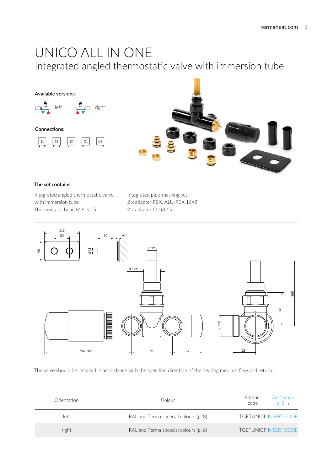### UNICO ALL IN ONE Integrated angled thermostatic valve with immersion tube



#### **The set contains:**

Integrated angled thermostatic valve with immersion tube Thermostatic head M30×1.5

Integrated pipe‑masking set 2 x adapter PEX, ALU-PEX 16×2 2 x adapter CU Ø 15



The valve should be installed in accordance with the specified direction of the heating medium flow and return.

| Orientation | Colour                                | Conf. code<br>Product<br>code<br>$D. 8. \rightarrow$ |
|-------------|---------------------------------------|------------------------------------------------------|
| left        | RAL and Terma spcecial colours (p. 8) | <b>TGFTUNICL INSFRT CODE</b>                         |
| right       | RAL and Terma spcecial colours (p. 8) | <b>TGFTUNICP INSERT CODE</b>                         |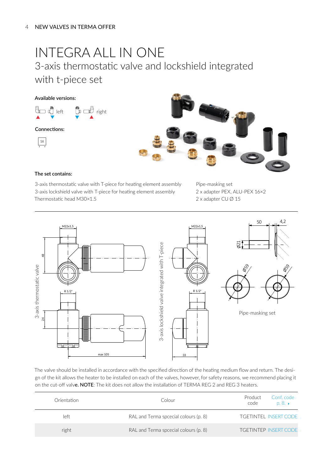### INTEGRA ALL IN ONE 3-axis thermostatic valve and lockshield integrated with t-piece set

#### **Available versions:**



#### **Connections:**





#### **The set contains:**

3-axis thermostatic valve with T-piece for heating element assembly 3-axis lockshield valve with T-piece for heating element assembly Thermostatic head M30×1.5

Pipe‑masking set 2 x adapter PEX, ALU-PEX 16×2 2 x adapter CU Ø 15



The valve should be installed in accordance with the specified direction of the heating medium flow and return. The design of the kit allows the heater to be installed on each of the valves, however, for safety reasons, we recommend placing it on the cut-off valve. NOTE: The kit does not allow the installation of TERMA REG 2 and REG 3 heaters.

| Orientation | Colour                                | Conf. code<br>Product<br>code<br>$p, 8, \rightarrow$ |
|-------------|---------------------------------------|------------------------------------------------------|
| left        | RAL and Terma spcecial colours (p. 8) | <b>TGFTINTEL INSERT CODE</b>                         |
| right       | RAL and Terma spcecial colours (p. 8) | <b>TGETINTEP INSERT CODE</b>                         |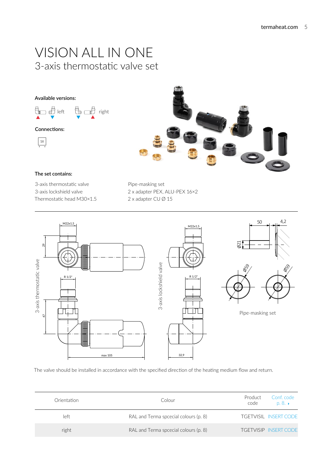### VISION ALL IN ONE 3-axis thermostatic valve set

#### **Available versions:**

$$
\begin{array}{ccc}\n\mathbf{a} & \mathbf{b} \\
\hline\n\mathbf{b} & \mathbf{c} \\
\hline\n\mathbf{c} & \mathbf{c} \\
\hline\n\mathbf{c} & \mathbf{c} \\
\hline\n\mathbf{c} & \mathbf{c} \\
\hline\n\mathbf{c} & \mathbf{c} \\
\hline\n\mathbf{c} & \mathbf{c} \\
\hline\n\mathbf{c} & \mathbf{c} \\
\hline\n\mathbf{c} & \mathbf{c} \\
\hline\n\mathbf{c} & \mathbf{c} \\
\hline\n\mathbf{c} & \mathbf{c} \\
\hline\n\mathbf{c} & \mathbf{c} \\
\hline\n\mathbf{c} & \mathbf{c} \\
\hline\n\mathbf{c} & \mathbf{c} \\
\hline\n\mathbf{c} & \mathbf{c} \\
\hline\n\mathbf{c} & \mathbf{c} \\
\hline\n\mathbf{c} & \mathbf{c} \\
\hline\n\mathbf{c} & \mathbf{c} \\
\hline\n\mathbf{c} & \mathbf{c} \\
\hline\n\mathbf{c} & \mathbf{c} \\
\hline\n\mathbf{c} & \mathbf{c} \\
\hline\n\mathbf{c} & \mathbf{c} \\
\hline\n\mathbf{c} & \mathbf{c} \\
\hline\n\mathbf{c} & \mathbf{c} \\
\hline\n\mathbf{c} & \mathbf{c} \\
\hline\n\mathbf{c} & \mathbf{c} \\
\hline\n\mathbf{c} & \mathbf{c} \\
\hline\n\mathbf{c} & \mathbf{c} \\
\hline\n\mathbf{c} & \mathbf{c} \\
\hline\n\mathbf{c} & \mathbf{c} \\
\hline\n\mathbf{c} & \mathbf{c} \\
\hline\n\mathbf{c} & \mathbf{c} \\
\hline\n\mathbf{c} & \mathbf{c} \\
\hline\n\mathbf{c} & \mathbf{c} \\
\hline\n\mathbf{c} & \mathbf{c} \\
\hline\n\mathbf{c} & \mathbf{c} \\
\hline\n\mathbf{c} & \mathbf{c} \\
\hline\n\mathbf{c} & \mathbf{c} \\
\hline\n\mathbf{c} & \mathbf{c} \\
\hline\n\mathbf{c} & \mathbf{c} \\
\hline\n\mathbf{c} & \mathbf{c} \\
\hline\n\mathbf{c} & \mathbf{c} \\
$$

#### **Connections:**





#### **The set contains:**

3-axis thermostatic valve 3-axis lockshield valve Thermostatic head M30×1.5 Pipe‑masking set 2 x adapter PEX, ALU-PEX 16×2 2 x adapter CU Ø 15



The valve should be installed in accordance with the specified direction of the heating medium flow and return.

| Orientation | Colour                                | Product<br>Conf. code<br>code<br>$p, 8, \rightarrow$ |
|-------------|---------------------------------------|------------------------------------------------------|
| left        | RAL and Terma spcecial colours (p. 8) | <b>TGFTVISIL INSERT CODE</b>                         |
| right       | RAL and Terma spcecial colours (p. 8) | <b>TGETVISIP INSERT CODE</b>                         |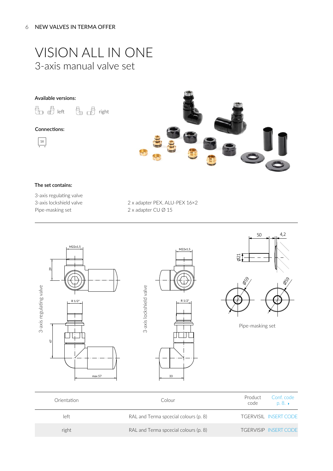### VISION ALL IN ONE 3-axis manual valve set

#### **Available versions:**

eld all left eld all right

#### **Connections:**





#### **The set contains:**

3-axis regulating valve 3-axis lockshield valve Pipe‑masking set

2 x adapter PEX, ALU-PEX 16×2 2 x adapter CU Ø 15



| Orientation | Colour                                | Conf. code<br>Product<br>code<br>p, 8. |
|-------------|---------------------------------------|----------------------------------------|
| left        | RAL and Terma spcecial colours (p. 8) | <b>TGERVISIL INSERT CODE</b>           |
| right       | RAL and Terma spcecial colours (p. 8) | <b>TGERVISIP INSERT CODE</b>           |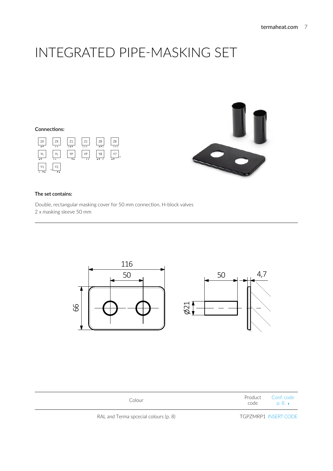### INTEGRATED PIPE‑MASKING SET

#### **Connections:**





#### **The set contains:**

Double, rectangular masking cover for 50 mm connection, H-block valves 2 x masking sleeve 50 mm



| Colour | Product Conf. code<br>code | $p, \delta$ . |
|--------|----------------------------|---------------|
|        |                            |               |

RAL and Terma spcecial colours (p. 8) TGPZMRP1 INSERT CODE